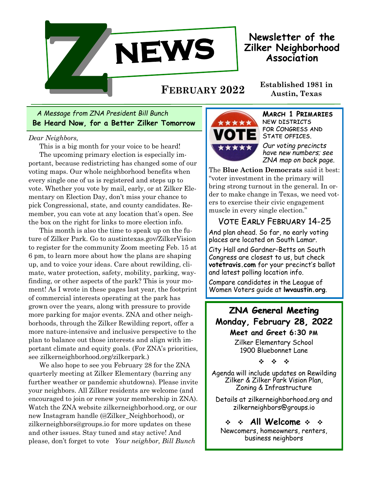

**Newsletter of the Zilker Neighborhood Association**

**Established 1981 in FEBRUARY <sup>2022</sup> Austin, Texas**

**Be Heard Now, for a Better Zilker Tomorrow** *A Message from ZNA President Bill Bunch*

*Dear Neighbors,* 

This is a big month for your voice to be heard! The upcoming primary election is especially important, because redistricting has changed some of our voting maps. Our whole neighborhood benefits when every single one of us is registered and steps up to vote. Whether you vote by mail, early, or at Zilker Elementary on Election Day, don't miss your chance to pick Congressional, state, and county candidates. Remember, you can vote at any location that's open. See the box on the right for links to more election info.

This month is also the time to speak up on the future of Zilker Park. Go to austintexas.gov/ZilkerVision to register for the community Zoom meeting Feb. 15 at 6 pm, to learn more about how the plans are shaping up, and to voice your ideas. Care about rewilding, climate, water protection, safety, mobility, parking, wayfinding, or other aspects of the park? This is your moment! As I wrote in these pages last year, the footprint of commercial interests operating at the park has grown over the years, along with pressure to provide more parking for major events. ZNA and other neighborhoods, through the Zilker Rewilding report, offer a more nature-intensive and inclusive perspective to the plan to balance out those interests and align with important climate and equity goals. (For ZNA's priorities, see zilkerneighborhood.org/zilkerpark.)

We also hope to see you February 28 for the ZNA quarterly meeting at Zilker Elementary (barring any further weather or pandemic shutdowns). Please invite your neighbors. All Zilker residents are welcome (and encouraged to join or renew your membership in ZNA). Watch the ZNA website zilkerneighborhood.org, or our new Instagram handle (@Zilker\_Neighborhood), or zilkerneighbors@groups.io for more updates on these and other issues. Stay tuned and stay active! And please, don't forget to vote *Your neighbor, Bill Bunch*



**March 1 Primaries**  new districts for Congress and STATE OFFICES.

*Our voting precincts have new numbers; see ZNA map on back page.*

The **Blue Action Democrats** said it best: "voter investment in the primary will bring strong turnout in the general. In order to make change in Texas, we need voters to exercise their civic engagement muscle in every single election."

## Vote Early February 14-25

And plan ahead. So far, no early voting places are located on South Lamar.

City Hall and Gardner-Betts on South Congress are closest to us, but check **votetravis.com** for your precinct's ballot and latest polling location info.

Compare candidates in the League of Women Voters guide at **lwvaustin.org**.

**ZNA General Meeting Monday, February 28, 2022**

> **Meet and Greet 6:30 pm** Zilker Elementary School 1900 Bluebonnet Lane

> > ❖

Agenda will include updates on Rewilding Zilker & Zilker Park Vision Plan, Zoning & Infrastructure

Details at zilkerneighborhood.org and zilkerneighbors@groups.io

 $\div$   $\div$  All Welcome  $\div$   $\div$ Newcomers, homeowners, renters, business neighbors